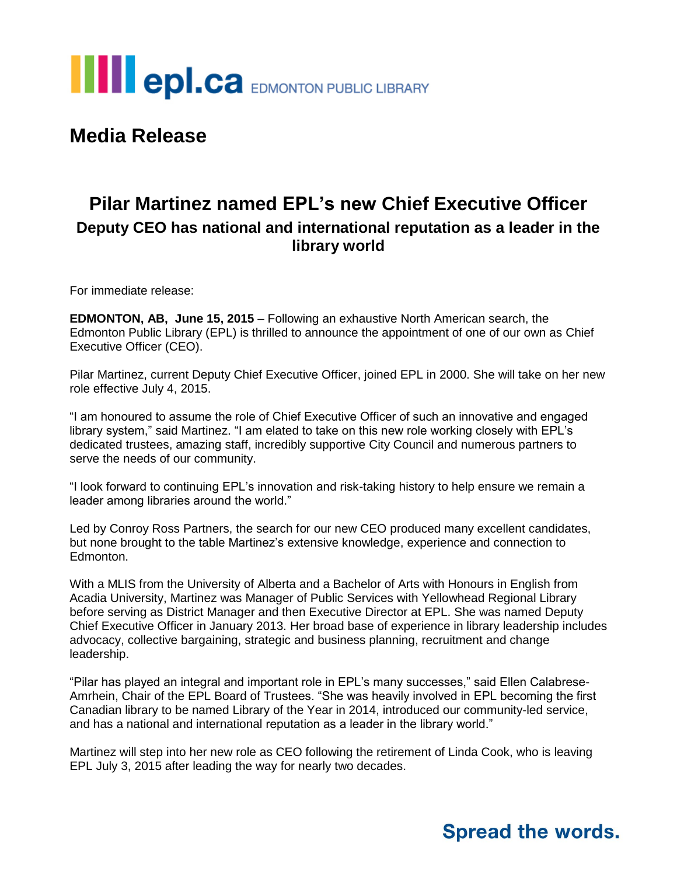

**Media Release**

## **Pilar Martinez named EPL's new Chief Executive Officer Deputy CEO has national and international reputation as a leader in the library world**

For immediate release:

**EDMONTON, AB, June 15, 2015** – Following an exhaustive North American search, the Edmonton Public Library (EPL) is thrilled to announce the appointment of one of our own as Chief Executive Officer (CEO).

Pilar Martinez, current Deputy Chief Executive Officer, joined EPL in 2000. She will take on her new role effective July 4, 2015.

"I am honoured to assume the role of Chief Executive Officer of such an innovative and engaged library system," said Martinez. "I am elated to take on this new role working closely with EPL's dedicated trustees, amazing staff, incredibly supportive City Council and numerous partners to serve the needs of our community.

"I look forward to continuing EPL's innovation and risk-taking history to help ensure we remain a leader among libraries around the world."

Led by Conroy Ross Partners, the search for our new CEO produced many excellent candidates, but none brought to the table Martinez's extensive knowledge, experience and connection to Edmonton.

With a MLIS from the University of Alberta and a Bachelor of Arts with Honours in English from Acadia University, Martinez was Manager of Public Services with Yellowhead Regional Library before serving as District Manager and then Executive Director at EPL. She was named Deputy Chief Executive Officer in January 2013. Her broad base of experience in library leadership includes advocacy, collective bargaining, strategic and business planning, recruitment and change leadership.

"Pilar has played an integral and important role in EPL's many successes," said Ellen Calabrese-Amrhein, Chair of the EPL Board of Trustees. "She was heavily involved in EPL becoming the first Canadian library to be named Library of the Year in 2014, introduced our community-led service, and has a national and international reputation as a leader in the library world."

Martinez will step into her new role as CEO following the retirement of Linda Cook, who is leaving EPL July 3, 2015 after leading the way for nearly two decades.

## **Spread the words.**